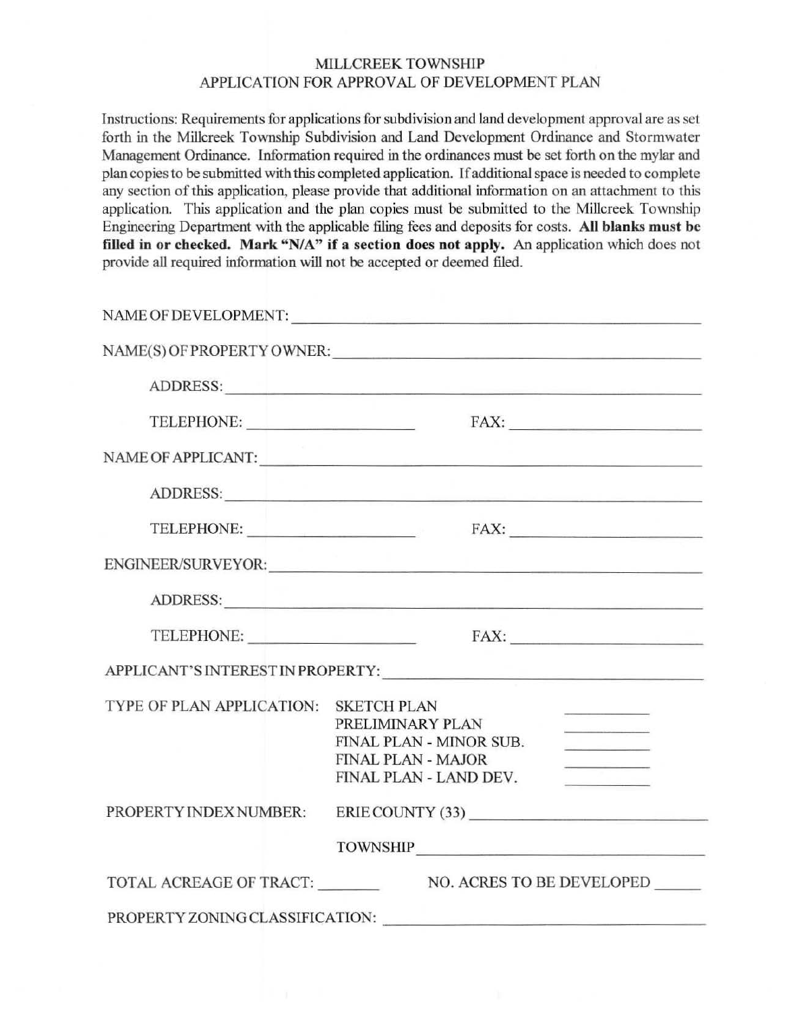## MILLCREEK TOWNSHIP APPLICATlON FOR APPROVAL OF DEVELOPMENT PLAN

Instructions: Requirements for applications for subdivision and land development approval are as set forth in the Millcreek Township Subdivision and Land Development Ordinance and Stormwater Management Ordinance. Information required in the ordinances must be set forth on the mylar and plan copies to be submitted with this completed application. If additional space is needed to complete any section of this application, please provide that additional information on an attachment to this application. This application and the plan copies must be submitted to the Millcreek Township Engineering Department with the applicable filing fees and deposits for costs. All blanks must be filled in or checked. Mark "N/A" if a section does not apply. An application which does not provide all required information will not be accepted or deemed filed.

|                           | NAME OF DEVELOPMENT:                                                                                                                                                                                                                        |
|---------------------------|---------------------------------------------------------------------------------------------------------------------------------------------------------------------------------------------------------------------------------------------|
|                           | NAME(S) OF PROPERTY OWNER:                                                                                                                                                                                                                  |
|                           | ADDRESS: New York Contract the Contract of the Contract of the Contract of the Contract of the Contract of the Contract of the Contract of the Contract of the Contract of the Contract of the Contract of the Contract of the              |
| TELEPHONE:                | FAX:                                                                                                                                                                                                                                        |
|                           | NAME OF APPLICANT:                                                                                                                                                                                                                          |
|                           |                                                                                                                                                                                                                                             |
|                           |                                                                                                                                                                                                                                             |
|                           | ENGINEER/SURVEYOR: New York: New York: New York: New York: New York: New York: New York: New York: New York: New York: New York: New York: New York: New York: New York: New York: New York: New York: New York: New York: New              |
|                           |                                                                                                                                                                                                                                             |
| TELEPHONE:                |                                                                                                                                                                                                                                             |
|                           | APPLICANT'S INTEREST IN PROPERTY:                                                                                                                                                                                                           |
| TYPE OF PLAN APPLICATION: | <b>SKETCH PLAN</b><br><u>Contract and Communications</u><br>PRELIMINARY PLAN<br>FINAL PLAN - MINOR SUB.<br><b>Collection Collection Collection</b><br><b>FINAL PLAN - MAJOR</b><br><u> La Caractería de la Ca</u><br>FINAL PLAN - LAND DEV. |
| PROPERTY INDEX NUMBER:    | ERIE COUNTY (33)                                                                                                                                                                                                                            |
|                           | TOWNSHIP                                                                                                                                                                                                                                    |
| TOTAL ACREAGE OF TRACT:   | NO. ACRES TO BE DEVELOPED                                                                                                                                                                                                                   |
|                           |                                                                                                                                                                                                                                             |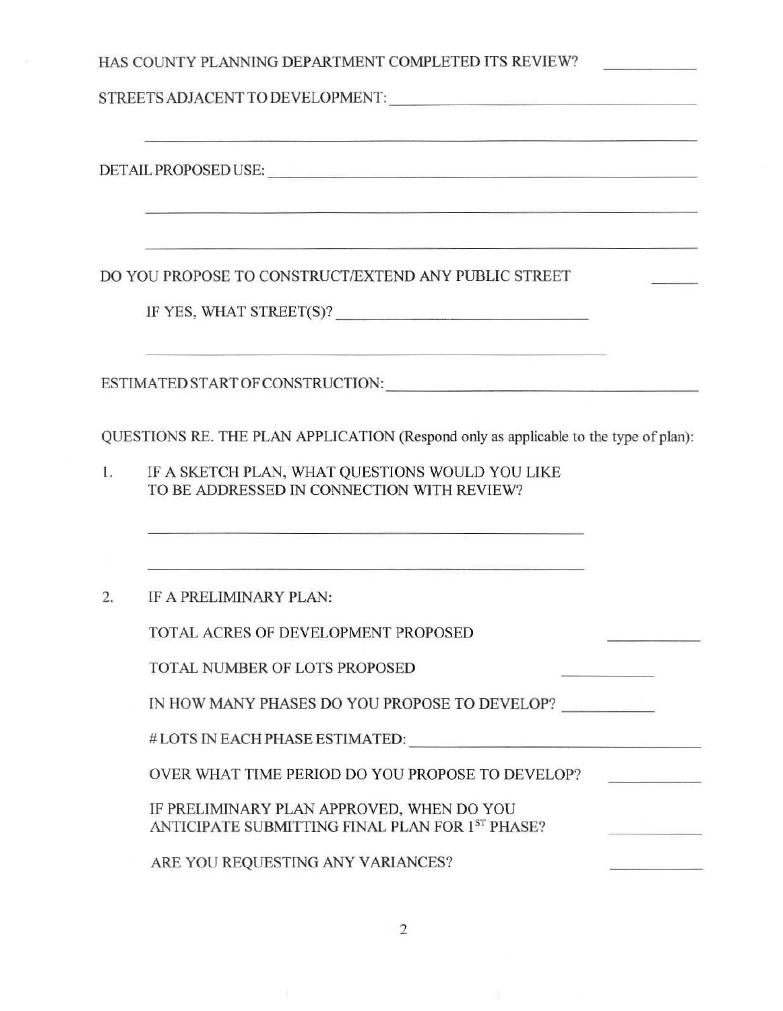|    | HAS COUNTY PLANNING DEPARTMENT COMPLETED ITS REVIEW?                                                                                                                                    |  |  |
|----|-----------------------------------------------------------------------------------------------------------------------------------------------------------------------------------------|--|--|
|    |                                                                                                                                                                                         |  |  |
|    | <u> 1980 - Angleta de Angleta de Angleta de Angleta de Angleta de Angleta de Angleta de Angleta de Angleta de Angl</u>                                                                  |  |  |
|    |                                                                                                                                                                                         |  |  |
|    |                                                                                                                                                                                         |  |  |
|    | <u> 1989 - Andrej Barnson, protokolog eta 1994 biztanle zuen erregea erregea ezkonatu zuen erregea zira zen zira</u><br>DO YOU PROPOSE TO CONSTRUCT/EXTEND ANY PUBLIC STREET            |  |  |
|    | IF YES, WHAT STREET(S)?                                                                                                                                                                 |  |  |
|    | <u> 1980 - An Aontaithe ann an t-Aire ann an t-Aontaiche ann an t-Aontaiche agus an t-Aontaiche ann an t-Aontaithe</u>                                                                  |  |  |
|    | QUESTIONS RE. THE PLAN APPLICATION (Respond only as applicable to the type of plan):                                                                                                    |  |  |
| 1. | IF A SKETCH PLAN, WHAT QUESTIONS WOULD YOU LIKE<br>TO BE ADDRESSED IN CONNECTION WITH REVIEW?                                                                                           |  |  |
|    | <u> 1999 - Andrej Andrej Andrej Andrej Andrej Andrej Andrej Andrej Andrej Andrej Andrej Andrej Andrej Andrej Andr</u><br><u> 1980 - Jan James Stein, Amerikaansk komponist (* 1980)</u> |  |  |
| 2. | IF A PRELIMINARY PLAN:                                                                                                                                                                  |  |  |
|    | TOTAL ACRES OF DEVELOPMENT PROPOSED                                                                                                                                                     |  |  |
|    | TOTAL NUMBER OF LOTS PROPOSED                                                                                                                                                           |  |  |
|    | IN HOW MANY PHASES DO YOU PROPOSE TO DEVELOP?                                                                                                                                           |  |  |
|    | #LOTS IN EACH PHASE ESTIMATED:                                                                                                                                                          |  |  |
|    | OVER WHAT TIME PERIOD DO YOU PROPOSE TO DEVELOP?                                                                                                                                        |  |  |
|    | IF PRELIMINARY PLAN APPROVED, WHEN DO YOU<br>ANTICIPATE SUBMITTING FINAL PLAN FOR 1ST PHASE?                                                                                            |  |  |
|    | ARE YOU REQUESTING ANY VARIANCES?                                                                                                                                                       |  |  |

2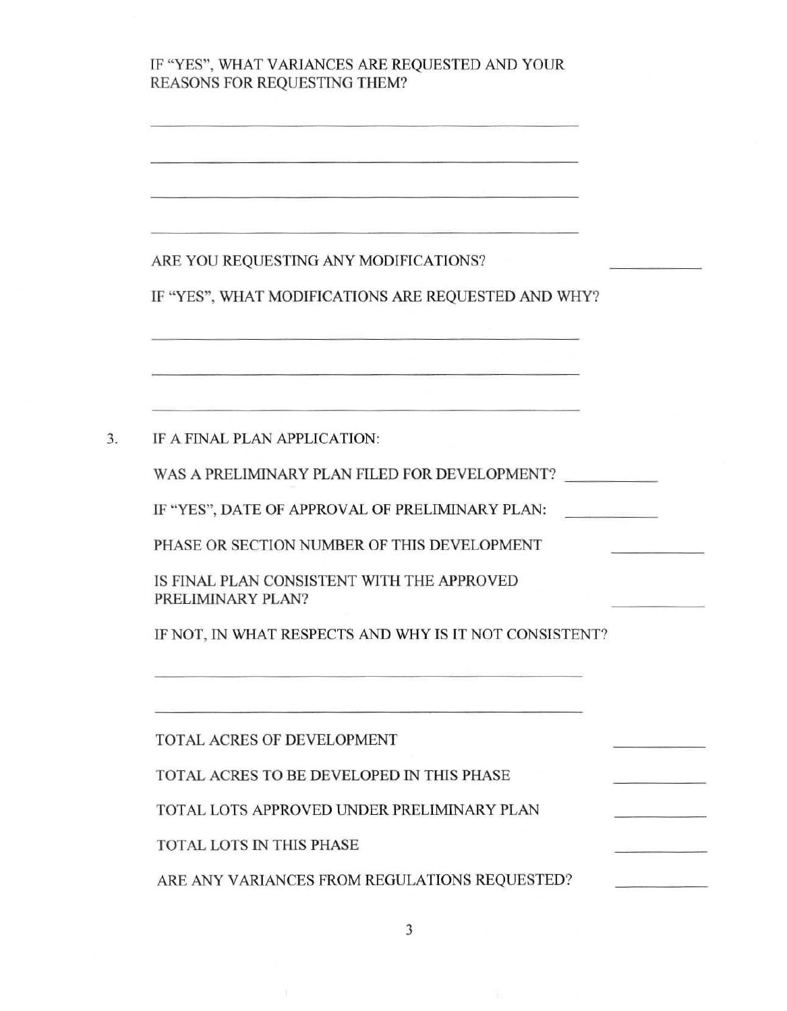## IF "YES", WHAT VARIANCES ARE REQUESTED AND YOUR REASONS FOR REQUESTING THEM?

## ARE YOU REQUESTING ANY MODIFICATIONS?

IF "YES", WHAT MODIFICATIONS ARE REQUESTED AND WHY?

## 3. IF A FINAL PLAN APPLICATION:

WAS A PRELIMINARY PLAN FILED FOR DEVELOPMENT?

IF "YES", DATE OF APPROVAL OF PRELIMINARY PLAN:

PHASE OR SECTION NUMBER OF THIS DEVELOPMENT

IS FINAL PLAN CONSISTENT WITH THE APPROVED PRELIMINARY PLAN?

IF NOT, IN WHAT RESPECTS AND WHY IS IT NOT CONSISTENT?

TOTAL ACRES OF DEVELOPMENT

TOTAL ACRES TO BE DEVELOPED IN THIS PHASE

TOTAL LOTS APPROVED UNDER PRELIMINARY PLAN

TOTAL LOTS IN THIS PHASE

ARE ANY VARIANCES FROM REGULATIONS REQUESTED?

3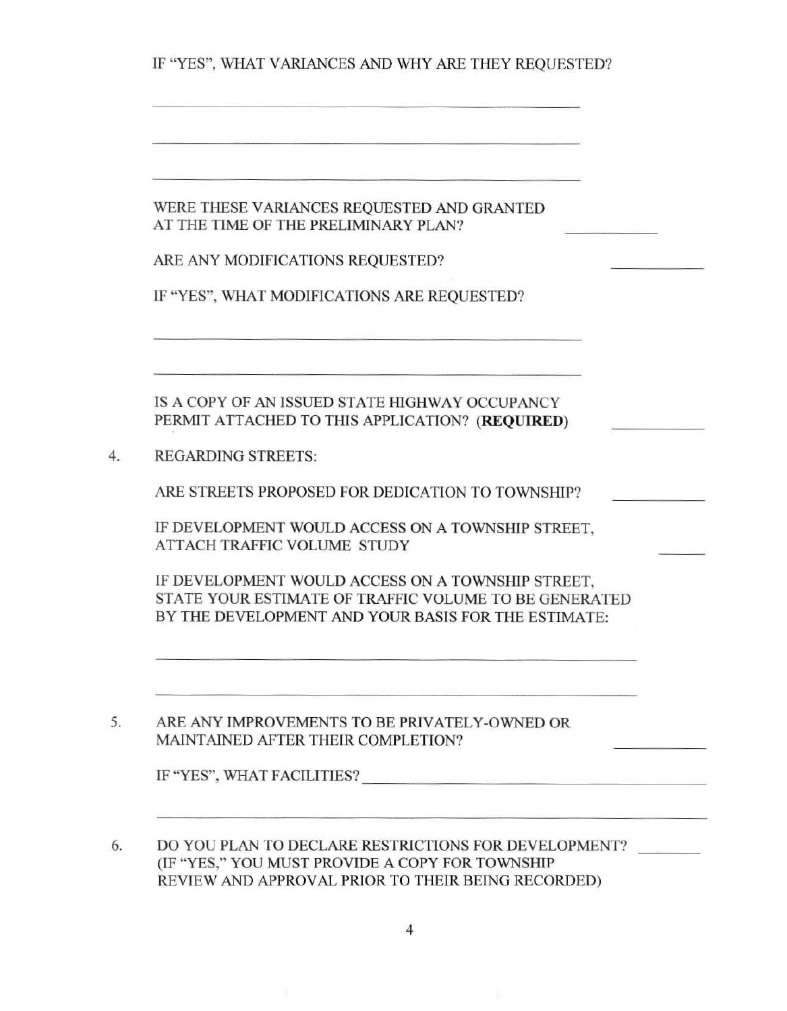IF "YES", WHAT VARIANCES AND WHY ARE THEY REQUESTED?

| WERE THESE VARIANCES REQUESTED AND GRANTED |
|--------------------------------------------|
| AT THE TIME OF THE PRELIMINARY PLAN?       |

|  | ARE ANY MODIFICATIONS REQUESTED? |  |
|--|----------------------------------|--|
|--|----------------------------------|--|

|  |  |  | IF "YES", WHAT MODIFICATIONS ARE REQUESTED? |
|--|--|--|---------------------------------------------|
|--|--|--|---------------------------------------------|

IS A COPY OF AN ISSUED STATE HIGHWAY OCCUPANCY PERMIT ATTACHED TO THIS APPLICATION? **(REQUIRED)** 

4. REGARDING STREETS:

ARE STREETS PROPOSED FOR DEDICATION TO TOWNSHIP?

IF DEVELOPMENT WOULD ACCESS ON A TOWNSHIP STREET, ATTACH TRAFFIC VOLUME STUDY

IF DEVELOPMENT WOULD ACCESS ON A TOWNSHIP STREET, STATE YOUR ESTIMATE OF TRAFFIC VOLUME TO BE GENERATED BY THE DEVELOPMENT AND YOUR BASIS FOR THE ESTIMATE:

5. ARE ANY IMPROVEMENTS TO BE PRIVATELY-OWNED OR MAlNT AINED AFTER THEIR COMPLETION?

| IF "YES", WHAT FACILITIES? |  |
|----------------------------|--|
|                            |  |

6. DO YOU PLAN TO DECLARE RESTRICTIONS FOR DEVELOPMENT? (IF "YES," YOU MUST PROVIDE A COPY FOR TOWNSHTP REVIEW AND APPROVAL PRIOR TO THEIR BEING RECORDED)